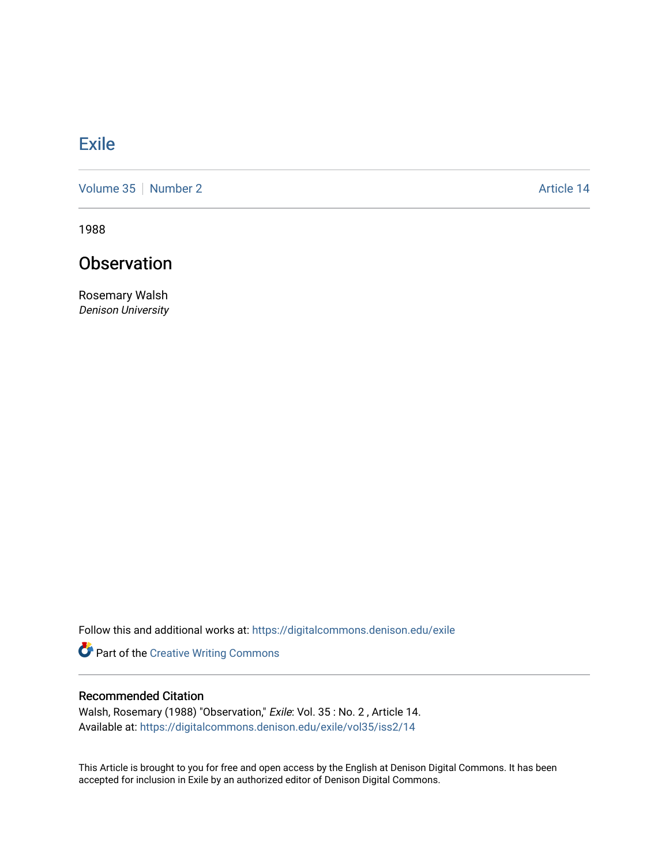## **[Exile](https://digitalcommons.denison.edu/exile)**

[Volume 35](https://digitalcommons.denison.edu/exile/vol35) [Number 2](https://digitalcommons.denison.edu/exile/vol35/iss2) Article 14

1988

## **Observation**

Rosemary Walsh Denison University

Follow this and additional works at: [https://digitalcommons.denison.edu/exile](https://digitalcommons.denison.edu/exile?utm_source=digitalcommons.denison.edu%2Fexile%2Fvol35%2Fiss2%2F14&utm_medium=PDF&utm_campaign=PDFCoverPages) 

Part of the [Creative Writing Commons](http://network.bepress.com/hgg/discipline/574?utm_source=digitalcommons.denison.edu%2Fexile%2Fvol35%2Fiss2%2F14&utm_medium=PDF&utm_campaign=PDFCoverPages) 

## Recommended Citation

Walsh, Rosemary (1988) "Observation," Exile: Vol. 35 : No. 2 , Article 14. Available at: [https://digitalcommons.denison.edu/exile/vol35/iss2/14](https://digitalcommons.denison.edu/exile/vol35/iss2/14?utm_source=digitalcommons.denison.edu%2Fexile%2Fvol35%2Fiss2%2F14&utm_medium=PDF&utm_campaign=PDFCoverPages)

This Article is brought to you for free and open access by the English at Denison Digital Commons. It has been accepted for inclusion in Exile by an authorized editor of Denison Digital Commons.